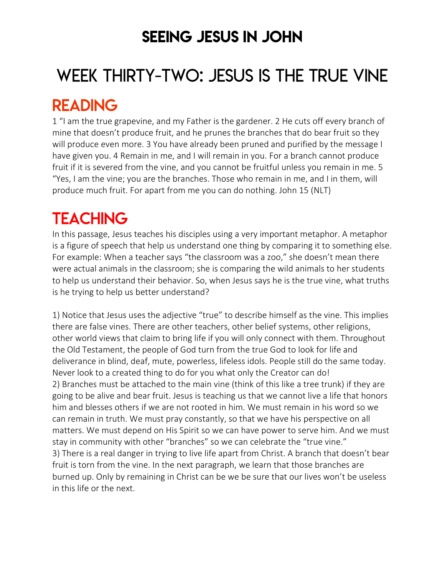### SEEING JESUS IN JOHN

# WEEK THIRTY-TWO: JESUS IS THE TRUE VINE

### READING

1 "I am the true grapevine, and my Father is the gardener. 2 He cuts off every branch of mine that doesn't produce fruit, and he prunes the branches that do bear fruit so they will produce even more. 3 You have already been pruned and purified by the message I have given you. 4 Remain in me, and I will remain in you. For a branch cannot produce fruit if it is severed from the vine, and you cannot be fruitful unless you remain in me. 5 "Yes, I am the vine; you are the branches. Those who remain in me, and I in them, will produce much fruit. For apart from me you can do nothing. John 15 (NLT)

## **TEACHING**

In this passage, Jesus teaches his disciples using a very important metaphor. A metaphor is a figure of speech that help us understand one thing by comparing it to something else. For example: When a teacher says "the classroom was a zoo," she doesn't mean there were actual animals in the classroom; she is comparing the wild animals to her students to help us understand their behavior. So, when Jesus says he is the true vine, what truths is he trying to help us better understand?

1) Notice that Jesus uses the adjective "true" to describe himself as the vine. This implies there are false vines. There are other teachers, other belief systems, other religions, other world views that claim to bring life if you will only connect with them. Throughout the Old Testament, the people of God turn from the true God to look for life and deliverance in blind, deaf, mute, powerless, lifeless idols. People still do the same today. Never look to a created thing to do for you what only the Creator can do! 2) Branches must be attached to the main vine (think of this like a tree trunk) if they are going to be alive and bear fruit. Jesus is teaching us that we cannot live a life that honors him and blesses others if we are not rooted in him. We must remain in his word so we can remain in truth. We must pray constantly, so that we have his perspective on all matters. We must depend on His Spirit so we can have power to serve him. And we must stay in community with other "branches" so we can celebrate the "true vine." 3) There is a real danger in trying to live life apart from Christ. A branch that doesn't bear fruit is torn from the vine. In the next paragraph, we learn that those branches are burned up. Only by remaining in Christ can be we be sure that our lives won't be useless in this life or the next.